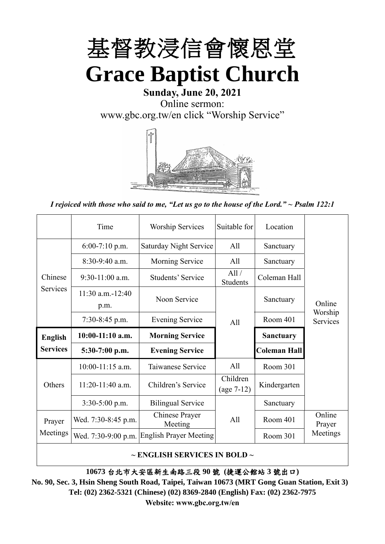

## **Sunday, June 20, 2021** Online sermon: [www.gbc.org.tw/en](http://www.gbc.org.tw/en) click "Worship Service"



*I rejoiced with those who said to me, "Let us go to the house of the Lord." ~ Psalm 122:1*

|                 | Time                          | <b>Worship Services</b>       | Suitable for             | Location            |                     |
|-----------------|-------------------------------|-------------------------------|--------------------------|---------------------|---------------------|
|                 | $6:00-7:10$ p.m.              | <b>Saturday Night Service</b> | All                      | Sanctuary           |                     |
|                 | $8:30-9:40$ a.m.              | <b>Morning Service</b>        | All                      | Sanctuary           |                     |
| Chinese         | $9:30-11:00$ a.m.             | Students' Service             | All/<br>Students         | Coleman Hall        |                     |
| Services        | $11:30$ a.m. $-12:40$<br>p.m. | Noon Service                  |                          | Sanctuary           | Online              |
|                 | $7:30-8:45$ p.m.              | <b>Evening Service</b>        | All                      | Room 401            | Worship<br>Services |
| <b>English</b>  | 10:00-11:10 a.m.              | <b>Morning Service</b>        |                          | <b>Sanctuary</b>    |                     |
| <b>Services</b> | $5:30-7:00$ p.m.              | <b>Evening Service</b>        |                          | <b>Coleman Hall</b> |                     |
|                 |                               |                               |                          |                     |                     |
|                 | $10:00-11:15$ a.m.            | Taiwanese Service             | A11                      | Room 301            |                     |
| Others          | $11:20-11:40$ a.m.            | Children's Service            | Children<br>$(age 7-12)$ | Kindergarten        |                     |
|                 | $3:30-5:00$ p.m.              | <b>Bilingual Service</b>      |                          | Sanctuary           |                     |
| Prayer          | Wed. 7:30-8:45 p.m.           | Chinese Prayer<br>Meeting     | A <sup>11</sup>          | Room 401            | Online<br>Prayer    |
| Meetings        | Wed. 7:30-9:00 p.m.           | <b>English Prayer Meeting</b> |                          | Room 301            | Meetings            |

**~ ENGLISH SERVICES IN BOLD ~**

**10673** 台北市大安區新生南路三段 **90** 號 **(**捷運公館站 **3** 號出口**)**

**No. 90, Sec. 3, Hsin Sheng South Road, Taipei, Taiwan 10673 (MRT Gong Guan Station, Exit 3) Tel: (02) 2362-5321 (Chinese) (02) 8369-2840 (English) Fax: (02) 2362-7975 Website: www.gbc.org.tw/en**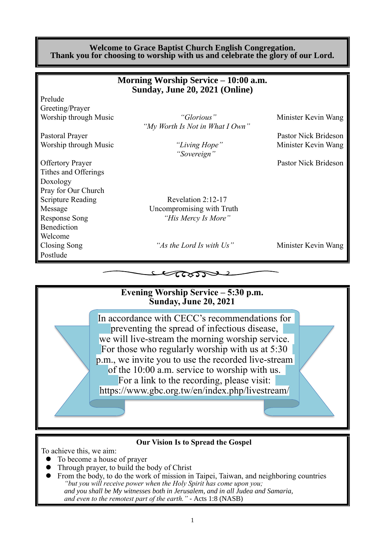#### **Welcome to Grace Baptist Church English Congregation. Thank you for choosing to worship with us and celebrate the glory of our Lord.**

|                          | Morning Worship Service – 10:00 a.m. |                      |
|--------------------------|--------------------------------------|----------------------|
|                          | Sunday, June 20, 2021 (Online)       |                      |
| Prelude                  |                                      |                      |
| Greeting/Prayer          |                                      |                      |
| Worship through Music    | "Glorious"                           | Minister Kevin Wang  |
|                          | "My Worth Is Not in What I Own"      |                      |
| Pastoral Prayer          |                                      | Pastor Nick Brideson |
| Worship through Music    | "Living Hope"                        | Minister Kevin Wang  |
|                          | "Sovereign"                          |                      |
| <b>Offertory Prayer</b>  |                                      | Pastor Nick Brideson |
| Tithes and Offerings     |                                      |                      |
| Doxology                 |                                      |                      |
| Pray for Our Church      |                                      |                      |
| <b>Scripture Reading</b> | Revelation 2:12-17                   |                      |
| Message                  | Uncompromising with Truth            |                      |
| <b>Response Song</b>     | "His Mercy Is More"                  |                      |
| Benediction              |                                      |                      |
| Welcome                  |                                      |                      |
| Closing Song             | "As the Lord Is with Us"             | Minister Kevin Wang  |
| Postlude                 |                                      |                      |
|                          |                                      |                      |
|                          |                                      |                      |
|                          |                                      |                      |



#### **Our Vision Is to Spread the Gospel**

To achieve this, we aim:

- ⚫ To become a house of prayer
- ⚫ Through prayer, to build the body of Christ
- ⚫ From the body, to do the work of mission in Taipei, Taiwan, and neighboring countries *"but you will receive power when the Holy Spirit has come upon you; and you shall be My witnesses both in Jerusalem, and in all Judea and Samaria, and even to the remotest part of the earth." -* Acts 1:8 (NASB)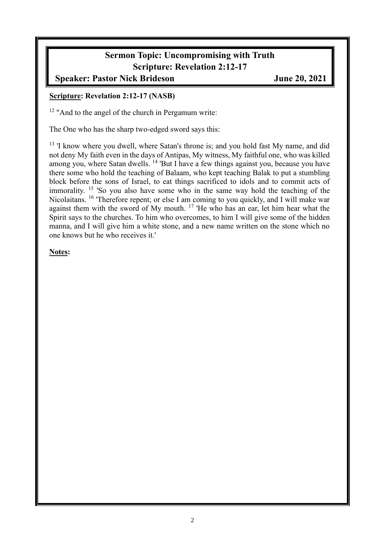## **Sermon Topic: Uncompromising with Truth Scripture: Revelation 2:12-17**

### **Speaker: Pastor Nick Brideson June 20, 2021**

#### **Scripture: Revelation 2:12-17 (NASB)**

<sup>12</sup> "And to the angel of the church in Pergamum write:

The One who has the sharp two-edged sword says this:

<sup>13</sup> 'I know where you dwell, where Satan's throne is; and you hold fast My name, and did not deny My faith even in the days of Antipas, My witness, My faithful one, who was killed among you, where Satan dwells. <sup>14</sup> 'But I have a few things against you, because you have there some who hold the teaching of Balaam, who kept teaching Balak to put a stumbling block before the sons of Israel, to eat things sacrificed to idols and to commit acts of immorality. <sup>15</sup> 'So you also have some who in the same way hold the teaching of the Nicolaitans. <sup>16</sup> 'Therefore repent; or else I am coming to you quickly, and I will make war against them with the sword of My mouth. <sup>17</sup> 'He who has an ear, let him hear what the Spirit says to the churches. To him who overcomes, to him I will give some of the hidden manna, and I will give him a white stone, and a new name written on the stone which no one knows but he who receives it.'

#### **Notes:**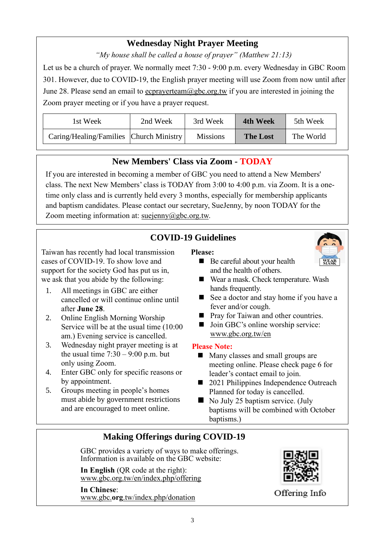## **Wednesday Night Prayer Meeting**

*"My house shall be called a house of prayer" (Matthew 21:13)*

Let us be a church of prayer. We normally meet 7:30 - 9:00 p.m. every Wednesday in GBC Room 301. However, due to COVID-19, the English prayer meeting will use Zoom from now until after June 28. Please send an email to ecprayerteam@gbc.org.tw if you are interested in joining the Zoom prayer meeting or if you have a prayer request.

| 1st Week                                | 2nd Week | 3rd Week        | <b>4th Week</b> | 5th Week  |
|-----------------------------------------|----------|-----------------|-----------------|-----------|
| Caring/Healing/Families Church Ministry |          | <b>Missions</b> | <b>The Lost</b> | The World |

## **New Members' Class via Zoom - TODAY**

If you are interested in becoming a member of GBC you need to attend a New Members' class. The next New Members' class is TODAY from 3:00 to 4:00 p.m. via Zoom. It is a onetime only class and is currently held every 3 months, especially for membership applicants and baptism candidates. Please contact our secretary, SueJenny, by noon TODAY for the Zoom meeting information at: suejenny@gbc.org.tw.

## **COVID-19 Guidelines**

Taiwan has recently had local transmission cases of COVID-19. To show love and support for the society God has put us in, we ask that you abide by the following:

- 1. All meetings in GBC are either cancelled or will continue online until after **June 28**.
- 2. Online English Morning Worship Service will be at the usual time (10:00 am.) Evening service is cancelled.
- 3. Wednesday night prayer meeting is at the usual time  $7:30 - 9:00$  p.m. but only using Zoom.
- 4. Enter GBC only for specific reasons or by appointment.
- 5. Groups meeting in people's homes must abide by government restrictions and are encouraged to meet online.

#### **Please:**



- Be careful about your health and the health of others.
- Wear a mask. Check temperature. Wash hands frequently.
- See a doctor and stay home if you have a fever and/or cough.
- Pray for Taiwan and other countries.
- Join GBC's online worship service: www.gbc.org.tw/en

#### **Please Note:**

- Many classes and small groups are meeting online. Please check page 6 for leader's contact email to join.
- 2021 Philippines Independence Outreach Planned for today is cancelled.
- No July 25 baptism service. (July baptisms will be combined with October baptisms.)

## **Making Offerings during COVID-19**

GBC provides a variety of ways to make offerings. Information is available on the GBC website:

**In English** (QR code at the right): [www.gbc.org.tw/en/index.php/offering](http://www.gbc.org.tw/en/index.php/offering/)

**In Chinese**: www.gbc.**org**[.tw/index.php/donation](http://www.gbc.org.tw/index.php/donation)



Offering Info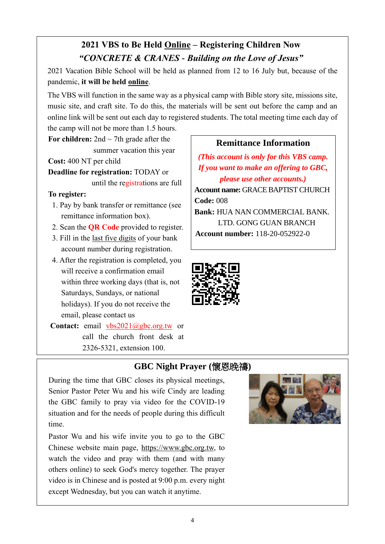## **2021 VBS to Be Held Online – Registering Children Now** *"CONCRETE & CRANES - Building on the Love of Jesus"*

2021 Vacation Bible School will be held as planned from 12 to 16 July but, because of the pandemic, **it will be held online**.

The VBS will function in the same way as a physical camp with Bible story site, missions site, music site, and craft site. To do this, the materials will be sent out before the camp and an online link will be sent out each day to registered students. The total meeting time each day of

the camp will not be more than 1.5 hours.

**For children:** 2nd  $\sim$  7th grade after the summer vacation this year

**Cost:** 400 NT per child **Deadline for registration:** TODAY or

until the registrations are full

#### **To register:**

- 1. Pay by bank transfer or remittance (see remittance information box).
- 2. Scan the **QR Code** provided to register.
- 3. Fill in the last five digits of your bank account number during registration.
- 4. After the registration is completed, you will receive a confirmation email within three working days (that is, not Saturdays, Sundays, or national holidays). If you do not receive the email, please contact us

**Contact:** email vbs2021@gbc.org.tw or call the church front desk at 2326-5321, extension 100.

## **Remittance Information**

*(This account is only for this VBS camp. If you want to make an offering to GBC, please use other accounts.)* **Account name:** GRACE BAPTIST CHURCH **Code:** 008 **Bank:** HUA NAN COMMERCIAL BANK. LTD. GONG GUAN BRANCH **Account number:** 118-20-052922-0



### **GBC Night Prayer (**懷恩晚禱**)**

During the time that GBC closes its physical meetings, Senior Pastor Peter Wu and his wife Cindy are leading the GBC family to pray via video for the COVID-19 situation and for the needs of people during this difficult time.

Pastor Wu and his wife invite you to go to the GBC Chinese website main page, https://www.gbc.org.tw, to watch the video and pray with them (and with many others online) to seek God's mercy together. The prayer video is in Chinese and is posted at 9:00 p.m. every night except Wednesday, but you can watch it anytime.

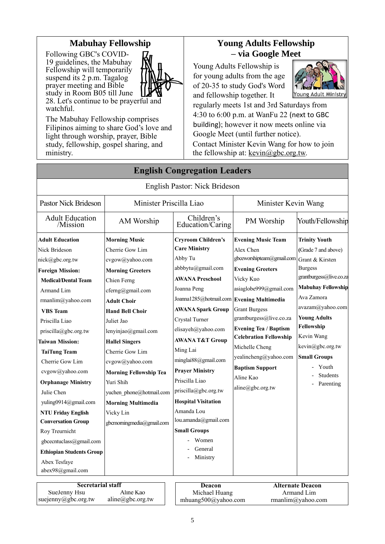#### **Mabuhay Fellowship**

Following GBC's COVID-19 guidelines, the Mabuhay Fellowship will temporarily suspend its 2 p.m. Tagalog prayer meeting and Bible study in Room B05 till June



28. Let's continue to be prayerful and watchful.

The Mabuhay Fellowship comprises Filipinos aiming to share God's love and light through worship, prayer, Bible study, fellowship, gospel sharing, and ministry.

## **Young Adults Fellowship – via Google Meet**

Young Adults Fellowship is for young adults from the age of 20-35 to study God's Word and fellowship together. It



regularly meets 1st and 3rd Saturdays from 4:30 to 6:00 p.m. at WanFu 22 (next to GBC building); however it now meets online via Google Meet (until further notice). Contact Minister Kevin Wang for how to join the fellowship at:  $k$ evin $@$ gbc.org.tw.

|                                                                                                                                                                                                                                                                                                                                                                                                                                                                                                                         |                                                                                                                                                                                                                                                                                                                                                                                                                               | English Pastor: Nick Brideson                                                                                                                                                                                                                                                                                                                                                                                                                                                                               |                                                                                                                                                                                                                                                                                                                                                                 |                                                                                                                                                                                                                                                                                                                   |
|-------------------------------------------------------------------------------------------------------------------------------------------------------------------------------------------------------------------------------------------------------------------------------------------------------------------------------------------------------------------------------------------------------------------------------------------------------------------------------------------------------------------------|-------------------------------------------------------------------------------------------------------------------------------------------------------------------------------------------------------------------------------------------------------------------------------------------------------------------------------------------------------------------------------------------------------------------------------|-------------------------------------------------------------------------------------------------------------------------------------------------------------------------------------------------------------------------------------------------------------------------------------------------------------------------------------------------------------------------------------------------------------------------------------------------------------------------------------------------------------|-----------------------------------------------------------------------------------------------------------------------------------------------------------------------------------------------------------------------------------------------------------------------------------------------------------------------------------------------------------------|-------------------------------------------------------------------------------------------------------------------------------------------------------------------------------------------------------------------------------------------------------------------------------------------------------------------|
| <b>Pastor Nick Brideson</b>                                                                                                                                                                                                                                                                                                                                                                                                                                                                                             | Minister Priscilla Liao                                                                                                                                                                                                                                                                                                                                                                                                       |                                                                                                                                                                                                                                                                                                                                                                                                                                                                                                             | Minister Kevin Wang                                                                                                                                                                                                                                                                                                                                             |                                                                                                                                                                                                                                                                                                                   |
| <b>Adult Education</b><br>/Mission                                                                                                                                                                                                                                                                                                                                                                                                                                                                                      | AM Worship                                                                                                                                                                                                                                                                                                                                                                                                                    | Children's<br>Education/Caring                                                                                                                                                                                                                                                                                                                                                                                                                                                                              | PM Worship                                                                                                                                                                                                                                                                                                                                                      | Youth/Fellowship                                                                                                                                                                                                                                                                                                  |
| <b>Adult Education</b><br>Nick Brideson<br>nick@gbc.org.tw<br><b>Foreign Mission:</b><br><b>Medical/Dental Team</b><br>Armand Lim<br>rmanlim@yahoo.com<br><b>VBS</b> Team<br>Priscilla Liao<br>priscilla@gbc.org.tw<br><b>Taiwan Mission:</b><br><b>TaiTung Team</b><br>Cherrie Gow Lim<br>cvgow@yahoo.com<br><b>Orphanage Ministry</b><br>Julie Chen<br>yuling0914@gmail.com<br><b>NTU Friday English</b><br><b>Conversation Group</b><br>Roy Treurnicht<br>gbcecntuclass@gmail.com<br><b>Ethiopian Students Group</b> | <b>Morning Music</b><br>Cherrie Gow Lim<br>cvgow@yahoo.com<br><b>Morning Greeters</b><br>Chien Ferng<br>cferng@gmail.com<br><b>Adult Choir</b><br><b>Hand Bell Choir</b><br>Juliet Jao<br>lenyinjao@gmail.com<br><b>Hallel Singers</b><br>Cherrie Gow Lim<br>cvgow@yahoo.com<br><b>Morning Fellowship Tea</b><br>Yuri Shih<br>yuchen phone@hotmail.com<br><b>Morning Multimedia</b><br>Vicky Lin<br>gbcmorningmedia@gmail.com | <b>Cryroom Children's</b><br><b>Care Ministry</b><br>Abby Tu<br>abbbytu@gmail.com<br><b>AWANA Preschool</b><br>Joanna Peng<br>Joanna1285@hotmail.com Evening Multimedia<br><b>AWANA Spark Group</b><br>Crystal Turner<br>elisayeh@yahoo.com<br><b>AWANA T&amp;T Group</b><br>Ming Lai<br>minglai88@gmail.com<br><b>Prayer Ministry</b><br>Priscilla Liao<br>priscilla@gbc.org.tw<br><b>Hospital Visitation</b><br>Amanda Lou<br>lou.amanda@gmail.com<br><b>Small Groups</b><br>Women<br>General<br>Ministry | <b>Evening Music Team</b><br>Alex Chen<br>gbceworshipteam@gmail.com<br><b>Evening Greeters</b><br>Vicky Kuo<br>asiaglobe999@gmail.com<br><b>Grant Burgess</b><br>grantburgess@live.co.za<br><b>Evening Tea / Baptism</b><br><b>Celebration Fellowship</b><br>Michelle Cheng<br>yealincheng@yahoo.com<br><b>Baptism Support</b><br>Aline Kao<br>aline@gbc.org.tw | <b>Trinity Youth</b><br>(Grade 7 and above)<br>Grant & Kirsten<br><b>Burgess</b><br>grantburgess@live.co.za<br><b>Mabuhay Fellowship</b><br>Ava Zamora<br>avazam@yahoo.com<br><b>Young Adults</b><br>Fellowship<br>Kevin Wang<br>kevin@gbc.org.tw<br><b>Small Groups</b><br>Youth<br><b>Students</b><br>Parenting |
| Abex Tesfaye<br>abex98@gmail.com                                                                                                                                                                                                                                                                                                                                                                                                                                                                                        |                                                                                                                                                                                                                                                                                                                                                                                                                               |                                                                                                                                                                                                                                                                                                                                                                                                                                                                                                             |                                                                                                                                                                                                                                                                                                                                                                 |                                                                                                                                                                                                                                                                                                                   |
|                                                                                                                                                                                                                                                                                                                                                                                                                                                                                                                         |                                                                                                                                                                                                                                                                                                                                                                                                                               |                                                                                                                                                                                                                                                                                                                                                                                                                                                                                                             |                                                                                                                                                                                                                                                                                                                                                                 |                                                                                                                                                                                                                                                                                                                   |
| <b>Secretarial staff</b>                                                                                                                                                                                                                                                                                                                                                                                                                                                                                                |                                                                                                                                                                                                                                                                                                                                                                                                                               | <b>Deacon</b>                                                                                                                                                                                                                                                                                                                                                                                                                                                                                               |                                                                                                                                                                                                                                                                                                                                                                 | <b>Alternate Deacon</b>                                                                                                                                                                                                                                                                                           |
| SueJenny Hsu<br>suejenny@gbc.org.tw                                                                                                                                                                                                                                                                                                                                                                                                                                                                                     | Aline Kao<br>aline@gbc.org.tw                                                                                                                                                                                                                                                                                                                                                                                                 | Michael Huang                                                                                                                                                                                                                                                                                                                                                                                                                                                                                               |                                                                                                                                                                                                                                                                                                                                                                 | Armand Lim                                                                                                                                                                                                                                                                                                        |
|                                                                                                                                                                                                                                                                                                                                                                                                                                                                                                                         |                                                                                                                                                                                                                                                                                                                                                                                                                               | mhuang500@yahoo.com                                                                                                                                                                                                                                                                                                                                                                                                                                                                                         |                                                                                                                                                                                                                                                                                                                                                                 | rmanlim@yahoo.com                                                                                                                                                                                                                                                                                                 |

**English Congregation Leaders**

# 5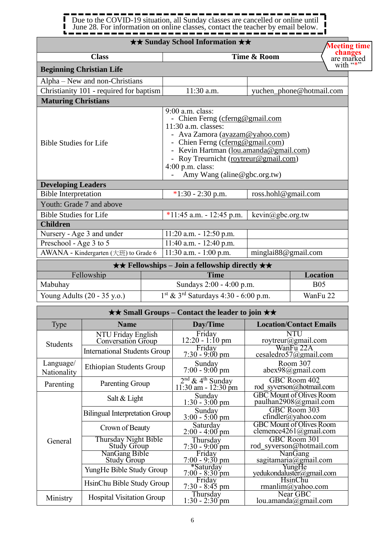#### П Due to the COVID-19 situation, all Sunday classes are cancelled or online until п June 28. For information on online classes, contact the teacher by email below. J ī.

#### ★★ **Sunday School Information** ★★

|                                         | <b>★★ Sunday School Information ★★</b>                                                                                                                                                                                                                                                |                              | <b>Meeting time</b>               |
|-----------------------------------------|---------------------------------------------------------------------------------------------------------------------------------------------------------------------------------------------------------------------------------------------------------------------------------------|------------------------------|-----------------------------------|
| <b>Class</b>                            |                                                                                                                                                                                                                                                                                       | Time & Room                  | changes<br>are marked<br>with "*" |
| <b>Beginning Christian Life</b>         |                                                                                                                                                                                                                                                                                       |                              |                                   |
| Alpha – New and non-Christians          |                                                                                                                                                                                                                                                                                       |                              |                                   |
| Christianity 101 - required for baptism | 11:30 a.m.                                                                                                                                                                                                                                                                            | yuchen_phone@hotmail.com     |                                   |
| <b>Maturing Christians</b>              |                                                                                                                                                                                                                                                                                       |                              |                                   |
| <b>Bible Studies for Life</b>           | 9:00 a.m. class:<br>- Chien Ferng (cferng@gmail.com<br>$11:30$ a.m. classes:<br>- Ava Zamora (avazam@yahoo.com)<br>Chien Ferng (cferng@gmail.com)<br>Kevin Hartman (lou.amanda@gmail.com)<br>Roy Treurnicht (roytreur@gmail.com)<br>$4:00$ p.m. class:<br>Amy Wang (aline@gbc.org.tw) |                              |                                   |
| <b>Developing Leaders</b>               |                                                                                                                                                                                                                                                                                       |                              |                                   |
| <b>Bible Interpretation</b>             | $*1:30 - 2:30$ p.m.                                                                                                                                                                                                                                                                   | ross.hohl@gmail.com          |                                   |
| Youth: Grade 7 and above                |                                                                                                                                                                                                                                                                                       |                              |                                   |
| <b>Bible Studies for Life</b>           | *11:45 a.m. $-12:45$ p.m.                                                                                                                                                                                                                                                             | $\text{kevin}(a)$ gbc.org.tw |                                   |
| <b>Children</b>                         |                                                                                                                                                                                                                                                                                       |                              |                                   |
| Nursery - Age 3 and under               | $11:20$ a.m. $-12:50$ p.m.                                                                                                                                                                                                                                                            |                              |                                   |
| Preschool - Age 3 to 5                  | $11:40$ a.m. $-12:40$ p.m.                                                                                                                                                                                                                                                            |                              |                                   |
| AWANA - Kindergarten (大班) to Grade 6    | $11:30$ a.m. $-1:00$ p.m.                                                                                                                                                                                                                                                             | minglai88@gmail.com          |                                   |

|                                       | $\star \star$ Fellowships – Join a fellowship directly $\star \star$ . |            |  |
|---------------------------------------|------------------------------------------------------------------------|------------|--|
| Fellowship                            | <b>Time</b>                                                            | Location   |  |
| Mabuhay                               | Sundays 2:00 - 4:00 p.m.                                               | <b>B05</b> |  |
| Young Adults $(20 - 35 \text{ y.o.})$ | $1st$ & 3 <sup>rd</sup> Saturdays 4:30 - 6:00 p.m.                     | WanFu 22   |  |

|                          | $\star\star$ Small Groups – Contact the leader to join $\star\star$ |                                                       |                                                           |  |  |
|--------------------------|---------------------------------------------------------------------|-------------------------------------------------------|-----------------------------------------------------------|--|--|
| Type                     | <b>Name</b>                                                         | Day/Time                                              | <b>Location/Contact Emails</b>                            |  |  |
| <b>Students</b>          | NTU Friday English<br>Conversation Group                            | Friday<br>$12:20 - 1:10$ pm                           | NTU<br>roytreur@gmail.com                                 |  |  |
|                          | <b>International Students Group</b>                                 | Friday<br>$7:30 - 9:00$ pm                            | WanFu 22A<br>cesaledro57@gmail.com                        |  |  |
| Language/<br>Nationality | <b>Ethiopian Students Group</b>                                     | Sunday<br>$7:00 - 9:00$ pm                            | Room 307<br>$abex98$ @gmail.com                           |  |  |
| Parenting                | Parenting Group                                                     | $2nd$ & 4 <sup>th</sup> Sunday<br>11:30 am - 12:30 pm | GBC Room 402<br>rod syverson@hotmail.com                  |  |  |
|                          | Salt & Light                                                        | Sunday<br>$1:30 - 3:00$ pm                            | <b>GBC</b> Mount of Olives Room<br>paulhan2908@gmail.com  |  |  |
|                          | <b>Bilingual Interpretation Group</b>                               | Sunday<br>$3:00 - 5:00$ pm                            | GBC Room 303<br>cfindler@yahoo.com                        |  |  |
|                          | Crown of Beauty                                                     | Saturday<br>$2:00 - 4:00$ pm                          | <b>GBC</b> Mount of Olives Room<br>clemence4261@gmail.com |  |  |
| General                  | Thursday Night Bible<br>Study Group                                 | Thursday<br>$7:30 - 9:00$ pm                          | GBC Room 301<br>rod syverson@hotmail.com                  |  |  |
|                          | NanGang Bible<br><b>Study Group</b>                                 | Friday<br>$7:00 - 9:30$ pm                            | <b>NanGang</b><br>sagitamaria@gmail.com                   |  |  |
|                          | YungHe Bible Study Group                                            | *Saturday<br>$7:00 - 8:30$ pm                         | YungHe<br>yedukondaluster@gmail.com                       |  |  |
|                          | HsinChu Bible Study Group                                           | Friday<br>$7:30 - 8:45$ pm                            | <b>HsinChu</b><br>rmanlim@yahoo.com                       |  |  |
| Ministry                 | <b>Hospital Visitation Group</b>                                    | Thursday<br>$1:30 - 2:30$ pm                          | Near GBC<br>lou.amanda@gmail.com                          |  |  |